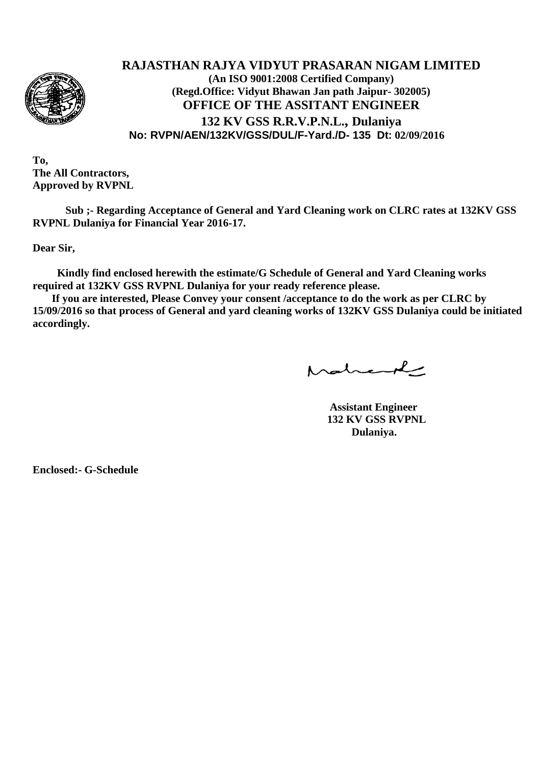

## **RAJASTHAN RAJYA VIDYUT PRASARAN NIGAM LIMITED (An ISO 9001:2008 Certified Company) (Regd.Office: Vidyut Bhawan Jan path Jaipur- 302005) OFFICE OF THE ASSITANT ENGINEER 132 KV GSS R.R.V.P.N.L., Dulaniya No: RVPN/AEN/132KV/GSS/DUL/F-Yard./D- 135 Dt: 02/09/2016**

**To, The All Contractors, Approved by RVPNL**

**Sub ;- Regarding Acceptance of General and Yard Cleaning work on CLRC rates at 132KV GSS RVPNL Dulaniya for Financial Year 2016-17.**

**Dear Sir,**

 **Kindly find enclosed herewith the estimate/G Schedule of General and Yard Cleaning works required at 132KV GSS RVPNL Dulaniya for your ready reference please.**

 **If you are interested, Please Convey your consent /acceptance to do the work as per CLRC by 15/09/2016 so that process of General and yard cleaning works of 132KV GSS Dulaniya could be initiated accordingly.**

Mahand

**Assistant Engineer 132 KV GSS RVPNL Dulaniya.**

**Enclosed:- G-Schedule**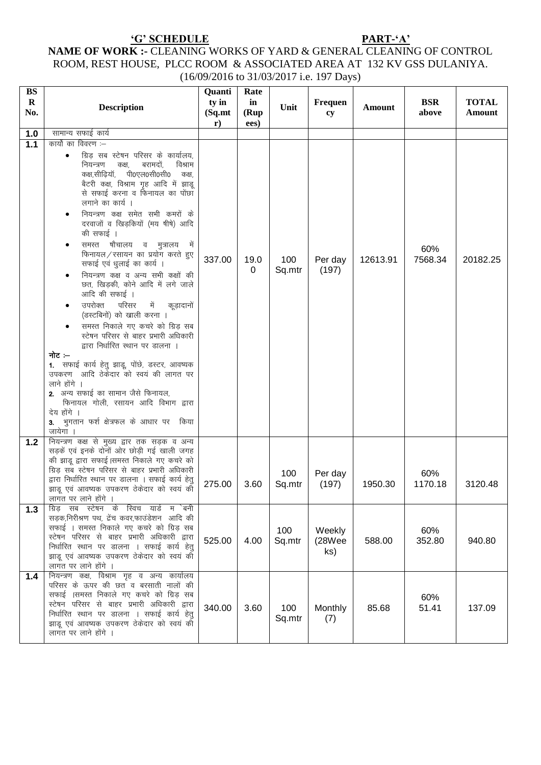# NAME OF WORK :- CLEANING WORKS OF YARD & GENERAL CLEANING OF CONTROL NAME OF WORK :- CLEANING WORKS OF YARD & GENERAL CLEANING OF CONTROL ROOM, REST HOUSE, PLCC ROOM & ASSOCIATED AREA AT 132 KV GSS DULANIYA.

 $(16/09/2016 \text{ to } 31/03/2017 \text{ i.e. } 197 \text{ Days})$ 

| <b>BS</b>          |                                                                                                                                                                                                                                                                                                                                                                                                                                                                                                                                                                                                                                                                                                                                                                                                                                                                                                                                                                                   | Quanti           | Rate        |               |                         |          |                     |                        |
|--------------------|-----------------------------------------------------------------------------------------------------------------------------------------------------------------------------------------------------------------------------------------------------------------------------------------------------------------------------------------------------------------------------------------------------------------------------------------------------------------------------------------------------------------------------------------------------------------------------------------------------------------------------------------------------------------------------------------------------------------------------------------------------------------------------------------------------------------------------------------------------------------------------------------------------------------------------------------------------------------------------------|------------------|-------------|---------------|-------------------------|----------|---------------------|------------------------|
| $\mathbf R$<br>No. | <b>Description</b>                                                                                                                                                                                                                                                                                                                                                                                                                                                                                                                                                                                                                                                                                                                                                                                                                                                                                                                                                                | ty in<br>(Sq.mt) | in<br>(Rup) | Unit          | <b>Frequen</b><br>cy    | Amount   | <b>BSR</b><br>above | <b>TOTAL</b><br>Amount |
|                    |                                                                                                                                                                                                                                                                                                                                                                                                                                                                                                                                                                                                                                                                                                                                                                                                                                                                                                                                                                                   | $\mathbf{r})$    | ees)        |               |                         |          |                     |                        |
| 1.0                | सामान्य सफाई कार्य                                                                                                                                                                                                                                                                                                                                                                                                                                                                                                                                                                                                                                                                                                                                                                                                                                                                                                                                                                |                  |             |               |                         |          |                     |                        |
| $1.1$              | कार्यो का विवरण :—<br>ग्रिड़ सब स्टेषन परिसर के कार्यालय,<br>बरामदों,<br>विश्राम<br>नियन्त्रण<br>कक्ष.<br>कक्ष,सीढ़ियॉ, पी0एल0सी0सी0<br>कक्ष,<br>बैटरी कक्ष, विश्राम गृह आदि में झाडू<br>से सफाई करना व फिनायल का पोंछा<br>लगाने का कार्य ।<br>नियन्त्रण कक्ष समेत सभी कमरों के<br>दरवाजों व खिड़कियों (मय षीषे) आदि<br>की सफाई ।<br>समस्त षौचालय व मुत्रालय<br>में<br>फिनायल/रसायन का प्रयोग करते हुए<br>सफाई एवं धुलाई का कार्य ।<br>नियन्त्रण कक्ष व अन्य सभी कक्षों की<br>छत, खिड़की, कोने आदि में लगे जाले<br>आदि की सफाई ।<br>उपरोक्त<br>परिसर<br>में कूड़ादानों<br>(डस्टबिनों) को खाली करना ।<br>समस्त निकाले गए कचरे को ग्रिड सब<br>स्टेषन परिसर से बाहर प्रभारी अधिकारी<br>द्वारा निर्धारित स्थान पर डालना ।<br>नोट ≔<br>1. सफाई कार्य हेतु झाडू, पोंछे, डस्टर, आवष्यक<br>उपकरण आदि ठेकेंदार को स्वयं की लागत पर<br>लाने होंगे ।<br>2. अन्य सफाई का सामान जैसे फिनायल,<br>फिनायल गोली, रसायन आदि विभाग द्वारा<br>देय होंगे ।<br>3. भुगतान फर्श क्षेत्रफल के आधार पर किया | 337.00           | 19.0<br>0   | 100<br>Sq.mtr | Per day<br>(197)        | 12613.91 | 60%<br>7568.34      | 20182.25               |
| $1.2$<br>1.3       | जायेगा ।<br>नियन्त्रण कक्ष से मुख्य द्वार तक सड़क व अन्य<br>सड़कें एवं इनके दोनों ओर छोड़ी गई खाली जगह<br>की झाडू द्वारा सफाई।समस्त निकाले गए कचरे को<br>ग्रिड़ सब स्टेषन परिसर से बाहर प्रभारी अधिकारी<br>द्वारा निर्धारित स्थान पर डालना । सफाई कार्य हेतु<br>झाडू एवं आवष्यक उपकरण ठेकेदार को स्वयं की<br>लागत पर लाने होंगे<br>ग्रिड सब स्टेषन के स्विच यार्ड म `बनी                                                                                                                                                                                                                                                                                                                                                                                                                                                                                                                                                                                                          | 275.00           | 3.60        | 100<br>Sq.mtr | Per day<br>(197)        | 1950.30  | 60%<br>1170.18      | 3120.48                |
|                    | सड़क,निरीश्रण पथ, ट्रेंच कवर,फाउंडेशन आदि की<br>सफाई । समस्त निकाले गए कचरे को ग्रिड़ सब<br>स्टेषन परिसर से बाहर प्रभारी अधिकारी द्वारा<br>निर्धारित स्थान पर डालना । सफाई कार्य हेतु<br>झाडू एवं आवष्यक उपकरण ठेकेदार को स्वयं की<br>लागत पर लाने होंगे                                                                                                                                                                                                                                                                                                                                                                                                                                                                                                                                                                                                                                                                                                                          | 525.00           | 4.00        | 100<br>Sq.mtr | Weekly<br>(28Wee<br>ks) | 588.00   | 60%<br>352.80       | 940.80                 |
| 1.4                | नियन्त्रण कक्ष, विश्राम गृह व अन्य कार्यालय<br>परिसर के ऊपर की छत व बरसाती नालों की<br>सफाई ।समस्त निकाले गए कचरे को ग्रिड़ सब<br>स्टेषन परिसर से बाहर प्रभारी अधिकारी द्वारा<br>निर्धारित स्थान पर डालना । सफाई कार्य हेतु<br>झाडू एवं आवष्यक उपकरण ठेकेदार को स्वयं की<br>लागत पर लाने होंगे ।                                                                                                                                                                                                                                                                                                                                                                                                                                                                                                                                                                                                                                                                                  | 340.00           | 3.60        | 100<br>Sq.mtr | Monthly<br>(7)          | 85.68    | 60%<br>51.41        | 137.09                 |